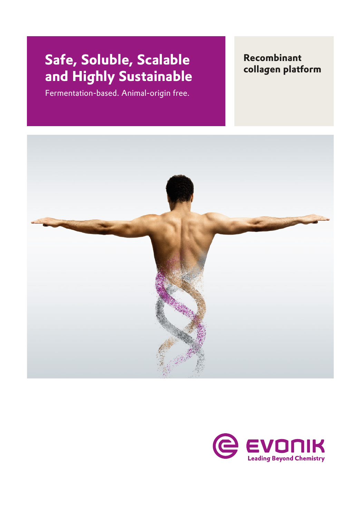# **collagen platform Safe, Soluble, Scalable and Highly Sustainable**

Fermentation-based. Animal-origin free.

**Recombinant**